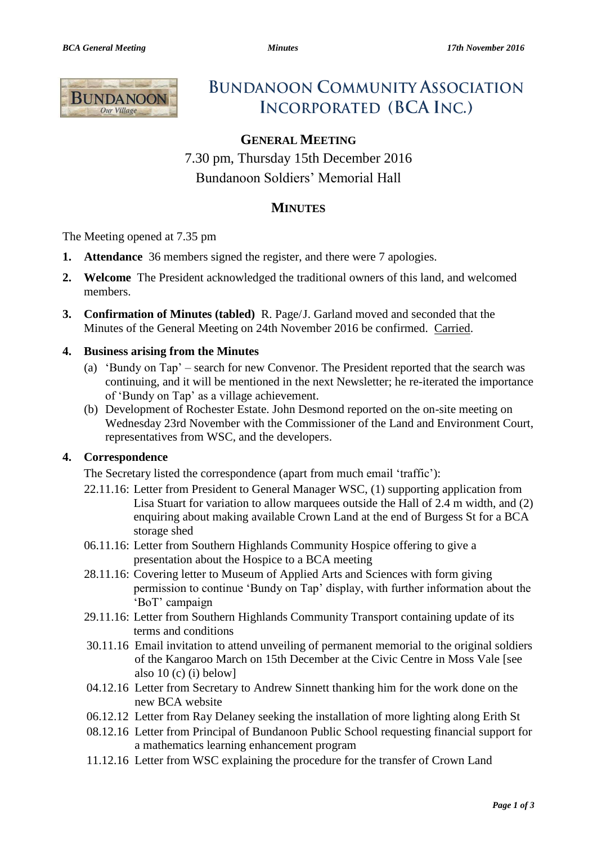

# **BUNDANOON COMMUNITY ASSOCIATION INCORPORATED (BCA INC.)**

# **GENERAL MEETING**

7.30 pm, Thursday 15th December 2016 Bundanoon Soldiers' Memorial Hall

# **MINUTES**

The Meeting opened at 7.35 pm

- **1. Attendance** 36 members signed the register, and there were 7 apologies.
- **2. Welcome** The President acknowledged the traditional owners of this land, and welcomed members.
- **3. Confirmation of Minutes (tabled)** R. Page/J. Garland moved and seconded that the Minutes of the General Meeting on 24th November 2016 be confirmed. Carried.

#### **4. Business arising from the Minutes**

- (a) 'Bundy on Tap' search for new Convenor. The President reported that the search was continuing, and it will be mentioned in the next Newsletter; he re-iterated the importance of 'Bundy on Tap' as a village achievement.
- (b) Development of Rochester Estate. John Desmond reported on the on-site meeting on Wednesday 23rd November with the Commissioner of the Land and Environment Court, representatives from WSC, and the developers.

#### **4. Correspondence**

The Secretary listed the correspondence (apart from much email 'traffic'):

- 22.11.16: Letter from President to General Manager WSC, (1) supporting application from Lisa Stuart for variation to allow marquees outside the Hall of 2.4 m width, and (2) enquiring about making available Crown Land at the end of Burgess St for a BCA storage shed
- 06.11.16: Letter from Southern Highlands Community Hospice offering to give a presentation about the Hospice to a BCA meeting
- 28.11.16: Covering letter to Museum of Applied Arts and Sciences with form giving permission to continue 'Bundy on Tap' display, with further information about the 'BoT' campaign
- 29.11.16: Letter from Southern Highlands Community Transport containing update of its terms and conditions
- 30.11.16 Email invitation to attend unveiling of permanent memorial to the original soldiers of the Kangaroo March on 15th December at the Civic Centre in Moss Vale [see also 10 (c) (i) below]
- 04.12.16 Letter from Secretary to Andrew Sinnett thanking him for the work done on the new BCA website
- 06.12.12 Letter from Ray Delaney seeking the installation of more lighting along Erith St
- 08.12.16 Letter from Principal of Bundanoon Public School requesting financial support for a mathematics learning enhancement program
- 11.12.16 Letter from WSC explaining the procedure for the transfer of Crown Land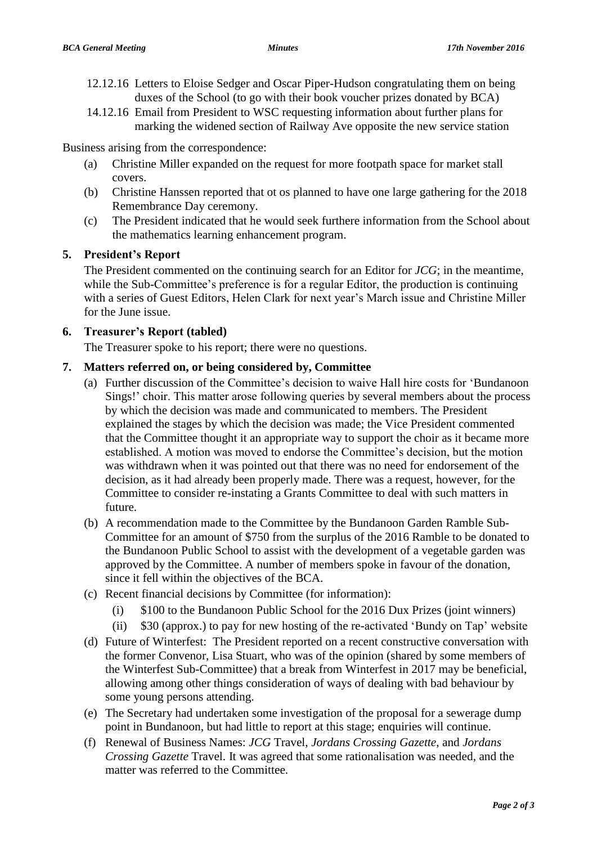- 12.12.16 Letters to Eloise Sedger and Oscar Piper-Hudson congratulating them on being duxes of the School (to go with their book voucher prizes donated by BCA)
- 14.12.16 Email from President to WSC requesting information about further plans for marking the widened section of Railway Ave opposite the new service station

Business arising from the correspondence:

- (a) Christine Miller expanded on the request for more footpath space for market stall covers.
- (b) Christine Hanssen reported that ot os planned to have one large gathering for the 2018 Remembrance Day ceremony.
- (c) The President indicated that he would seek furthere information from the School about the mathematics learning enhancement program.

#### **5. President's Report**

The President commented on the continuing search for an Editor for *JCG*; in the meantime, while the Sub-Committee's preference is for a regular Editor, the production is continuing with a series of Guest Editors, Helen Clark for next year's March issue and Christine Miller for the June issue.

## **6. Treasurer's Report (tabled)**

The Treasurer spoke to his report; there were no questions.

#### **7. Matters referred on, or being considered by, Committee**

- (a) Further discussion of the Committee's decision to waive Hall hire costs for 'Bundanoon Sings!' choir. This matter arose following queries by several members about the process by which the decision was made and communicated to members. The President explained the stages by which the decision was made; the Vice President commented that the Committee thought it an appropriate way to support the choir as it became more established. A motion was moved to endorse the Committee's decision, but the motion was withdrawn when it was pointed out that there was no need for endorsement of the decision, as it had already been properly made. There was a request, however, for the Committee to consider re-instating a Grants Committee to deal with such matters in future.
- (b) A recommendation made to the Committee by the Bundanoon Garden Ramble Sub-Committee for an amount of \$750 from the surplus of the 2016 Ramble to be donated to the Bundanoon Public School to assist with the development of a vegetable garden was approved by the Committee. A number of members spoke in favour of the donation, since it fell within the objectives of the BCA.
- (c) Recent financial decisions by Committee (for information):
	- (i) \$100 to the Bundanoon Public School for the 2016 Dux Prizes (joint winners)
	- (ii) \$30 (approx.) to pay for new hosting of the re-activated 'Bundy on Tap' website
- (d) Future of Winterfest: The President reported on a recent constructive conversation with the former Convenor, Lisa Stuart, who was of the opinion (shared by some members of the Winterfest Sub-Committee) that a break from Winterfest in 2017 may be beneficial, allowing among other things consideration of ways of dealing with bad behaviour by some young persons attending.
- (e) The Secretary had undertaken some investigation of the proposal for a sewerage dump point in Bundanoon, but had little to report at this stage; enquiries will continue.
- (f) Renewal of Business Names: *JCG* Travel, *Jordans Crossing Gazette*, and *Jordans Crossing Gazette* Travel. It was agreed that some rationalisation was needed, and the matter was referred to the Committee.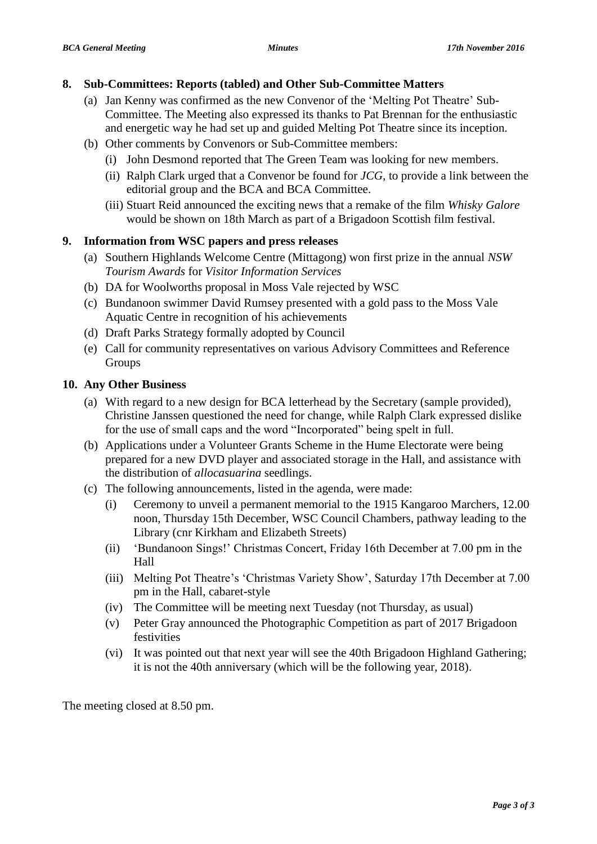#### **8. Sub-Committees: Reports (tabled) and Other Sub-Committee Matters**

- (a) Jan Kenny was confirmed as the new Convenor of the 'Melting Pot Theatre' Sub-Committee. The Meeting also expressed its thanks to Pat Brennan for the enthusiastic and energetic way he had set up and guided Melting Pot Theatre since its inception.
- (b) Other comments by Convenors or Sub-Committee members:
	- (i) John Desmond reported that The Green Team was looking for new members.
	- (ii) Ralph Clark urged that a Convenor be found for *JCG*, to provide a link between the editorial group and the BCA and BCA Committee.
	- (iii) Stuart Reid announced the exciting news that a remake of the film *Whisky Galore* would be shown on 18th March as part of a Brigadoon Scottish film festival.

## **9. Information from WSC papers and press releases**

- (a) Southern Highlands Welcome Centre (Mittagong) won first prize in the annual *NSW Tourism Awards* for *Visitor Information Services*
- (b) DA for Woolworths proposal in Moss Vale rejected by WSC
- (c) Bundanoon swimmer David Rumsey presented with a gold pass to the Moss Vale Aquatic Centre in recognition of his achievements
- (d) Draft Parks Strategy formally adopted by Council
- (e) Call for community representatives on various Advisory Committees and Reference Groups

## **10. Any Other Business**

- (a) With regard to a new design for BCA letterhead by the Secretary (sample provided), Christine Janssen questioned the need for change, while Ralph Clark expressed dislike for the use of small caps and the word "Incorporated" being spelt in full.
- (b) Applications under a Volunteer Grants Scheme in the Hume Electorate were being prepared for a new DVD player and associated storage in the Hall, and assistance with the distribution of *allocasuarina* seedlings.
- (c) The following announcements, listed in the agenda, were made:
	- (i) Ceremony to unveil a permanent memorial to the 1915 Kangaroo Marchers, 12.00 noon, Thursday 15th December, WSC Council Chambers, pathway leading to the Library (cnr Kirkham and Elizabeth Streets)
	- (ii) 'Bundanoon Sings!' Christmas Concert, Friday 16th December at 7.00 pm in the Hall
	- (iii) Melting Pot Theatre's 'Christmas Variety Show', Saturday 17th December at 7.00 pm in the Hall, cabaret-style
	- (iv) The Committee will be meeting next Tuesday (not Thursday, as usual)
	- (v) Peter Gray announced the Photographic Competition as part of 2017 Brigadoon festivities
	- (vi) It was pointed out that next year will see the 40th Brigadoon Highland Gathering; it is not the 40th anniversary (which will be the following year, 2018).

The meeting closed at 8.50 pm.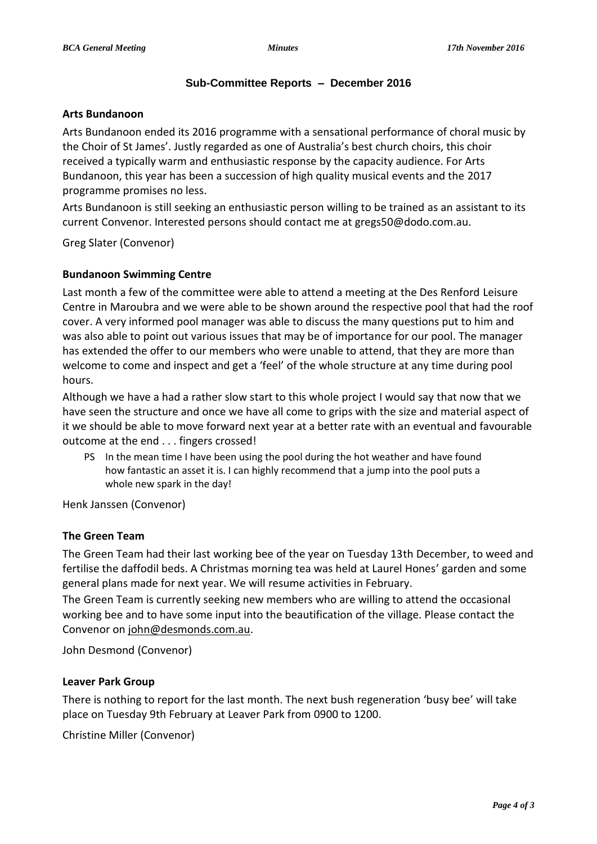#### **Sub-Committee Reports – December 2016**

#### **Arts Bundanoon**

Arts Bundanoon ended its 2016 programme with a sensational performance of choral music by the Choir of St James'. Justly regarded as one of Australia's best church choirs, this choir received a typically warm and enthusiastic response by the capacity audience. For Arts Bundanoon, this year has been a succession of high quality musical events and the 2017 programme promises no less.

Arts Bundanoon is still seeking an enthusiastic person willing to be trained as an assistant to its current Convenor. Interested persons should contact me at gregs50@dodo.com.au.

Greg Slater (Convenor)

#### **Bundanoon Swimming Centre**

Last month a few of the committee were able to attend a meeting at the Des Renford Leisure Centre in Maroubra and we were able to be shown around the respective pool that had the roof cover. A very informed pool manager was able to discuss the many questions put to him and was also able to point out various issues that may be of importance for our pool. The manager has extended the offer to our members who were unable to attend, that they are more than welcome to come and inspect and get a 'feel' of the whole structure at any time during pool hours.

Although we have a had a rather slow start to this whole project I would say that now that we have seen the structure and once we have all come to grips with the size and material aspect of it we should be able to move forward next year at a better rate with an eventual and favourable outcome at the end . . . fingers crossed!

PS In the mean time I have been using the pool during the hot weather and have found how fantastic an asset it is. I can highly recommend that a jump into the pool puts a whole new spark in the day!

Henk Janssen (Convenor)

#### **The Green Team**

The Green Team had their last working bee of the year on Tuesday 13th December, to weed and fertilise the daffodil beds. A Christmas morning tea was held at Laurel Hones' garden and some general plans made for next year. We will resume activities in February.

The Green Team is currently seeking new members who are willing to attend the occasional working bee and to have some input into the beautification of the village. Please contact the Convenor on [john@desmonds.com.au.](mailto:john@desmonds.com.au)

John Desmond (Convenor)

#### **Leaver Park Group**

There is nothing to report for the last month. The next bush regeneration 'busy bee' will take place on Tuesday 9th February at Leaver Park from 0900 to 1200.

Christine Miller (Convenor)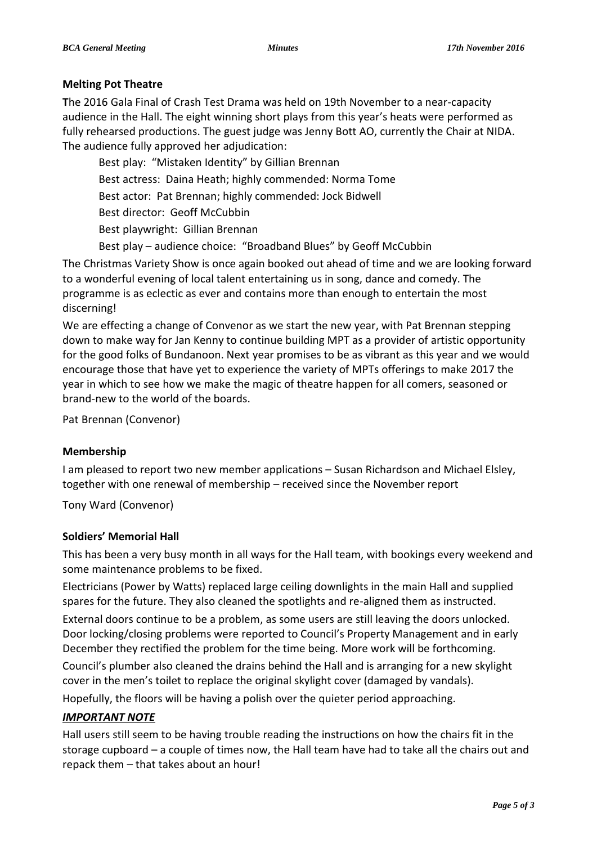## **Melting Pot Theatre**

**T**he 2016 Gala Final of Crash Test Drama was held on 19th November to a near-capacity audience in the Hall. The eight winning short plays from this year's heats were performed as fully rehearsed productions. The guest judge was Jenny Bott AO, currently the Chair at NIDA. The audience fully approved her adjudication:

Best play: "Mistaken Identity" by Gillian Brennan Best actress: Daina Heath; highly commended: Norma Tome Best actor: Pat Brennan; highly commended: Jock Bidwell Best director: Geoff McCubbin Best playwright: Gillian Brennan

Best play – audience choice: "Broadband Blues" by Geoff McCubbin

The Christmas Variety Show is once again booked out ahead of time and we are looking forward to a wonderful evening of local talent entertaining us in song, dance and comedy. The programme is as eclectic as ever and contains more than enough to entertain the most discerning!

We are effecting a change of Convenor as we start the new year, with Pat Brennan stepping down to make way for Jan Kenny to continue building MPT as a provider of artistic opportunity for the good folks of Bundanoon. Next year promises to be as vibrant as this year and we would encourage those that have yet to experience the variety of MPTs offerings to make 2017 the year in which to see how we make the magic of theatre happen for all comers, seasoned or brand-new to the world of the boards.

Pat Brennan (Convenor)

#### **Membership**

I am pleased to report two new member applications – Susan Richardson and Michael Elsley, together with one renewal of membership – received since the November report

Tony Ward (Convenor)

#### **Soldiers' Memorial Hall**

This has been a very busy month in all ways for the Hall team, with bookings every weekend and some maintenance problems to be fixed.

Electricians (Power by Watts) replaced large ceiling downlights in the main Hall and supplied spares for the future. They also cleaned the spotlights and re-aligned them as instructed.

External doors continue to be a problem, as some users are still leaving the doors unlocked. Door locking/closing problems were reported to Council's Property Management and in early December they rectified the problem for the time being. More work will be forthcoming.

Council's plumber also cleaned the drains behind the Hall and is arranging for a new skylight cover in the men's toilet to replace the original skylight cover (damaged by vandals).

Hopefully, the floors will be having a polish over the quieter period approaching.

## *IMPORTANT NOTE*

Hall users still seem to be having trouble reading the instructions on how the chairs fit in the storage cupboard – a couple of times now, the Hall team have had to take all the chairs out and repack them – that takes about an hour!